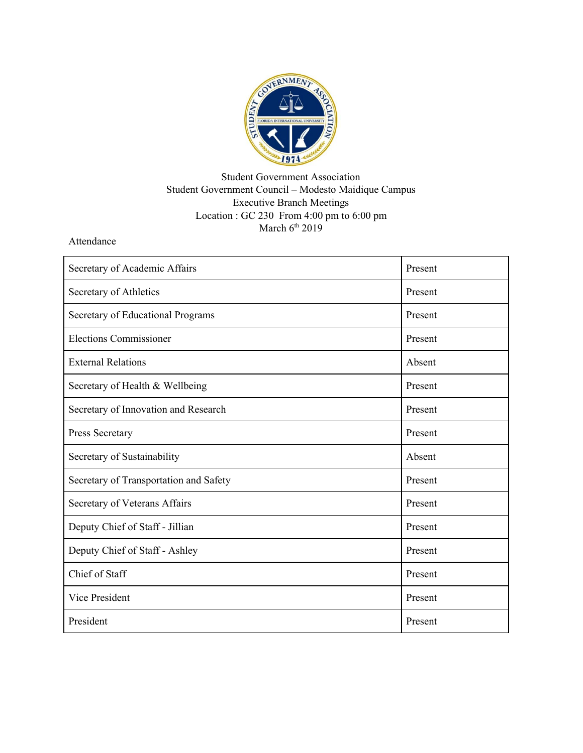

## Student Government Association Student Government Council – Modesto Maidique Campus Executive Branch Meetings Location : GC 230 From 4:00 pm to 6:00 pm March  $6<sup>th</sup>$  2019

Attendance

| Secretary of Academic Affairs          | Present |
|----------------------------------------|---------|
| Secretary of Athletics                 | Present |
| Secretary of Educational Programs      | Present |
| <b>Elections Commissioner</b>          | Present |
| <b>External Relations</b>              | Absent  |
| Secretary of Health & Wellbeing        | Present |
| Secretary of Innovation and Research   | Present |
| Press Secretary                        | Present |
| Secretary of Sustainability            | Absent  |
| Secretary of Transportation and Safety | Present |
| Secretary of Veterans Affairs          | Present |
| Deputy Chief of Staff - Jillian        | Present |
| Deputy Chief of Staff - Ashley         | Present |
| Chief of Staff                         | Present |
| <b>Vice President</b>                  | Present |
| President                              | Present |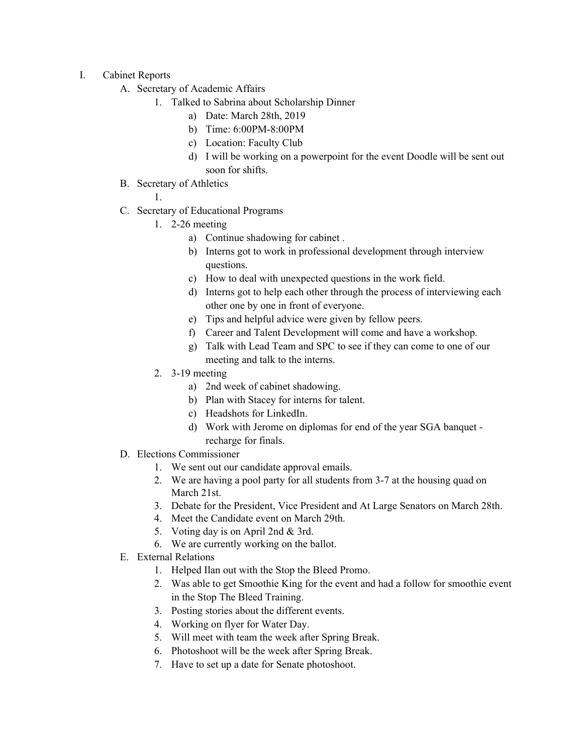- I. Cabinet Reports
	- A. Secretary of Academic Affairs
		- 1. Talked to Sabrina about Scholarship Dinner
			- a) Date: March 28th, 2019
			- b) Time: 6:00PM-8:00PM
			- c) Location: Faculty Club
			- d) I will be working on a powerpoint for the event Doodle will be sent out soon for shifts.
	- B. Secretary of Athletics

1.

- C. Secretary of Educational Programs
	- 1. 2-26 meeting
		- a) Continue shadowing for cabinet .
		- b) Interns got to work in professional development through interview questions.
		- c) How to deal with unexpected questions in the work field.
		- d) Interns got to help each other through the process of interviewing each other one by one in front of everyone.
		- e) Tips and helpful advice were given by fellow peers.
		- f) Career and Talent Development will come and have a workshop.
		- g) Talk with Lead Team and SPC to see if they can come to one of our meeting and talk to the interns.
	- 2. 3-19 meeting
		- a) 2nd week of cabinet shadowing.
		- b) Plan with Stacey for interns for talent.
		- c) Headshots for LinkedIn.
		- d) Work with Jerome on diplomas for end of the year SGA banquet recharge for finals.
- D. Elections Commissioner
	- 1. We sent out our candidate approval emails.
	- 2. We are having a pool party for all students from 3-7 at the housing quad on March 21st.
	- 3. Debate for the President, Vice President and At Large Senators on March 28th.
	- 4. Meet the Candidate event on March 29th.
	- 5. Voting day is on April 2nd & 3rd.
	- 6. We are currently working on the ballot.
- E. External Relations
	- 1. Helped Ilan out with the Stop the Bleed Promo.
	- 2. Was able to get Smoothie King for the event and had a follow for smoothie event in the Stop The Bleed Training.
	- 3. Posting stories about the different events.
	- 4. Working on flyer for Water Day.
	- 5. Will meet with team the week after Spring Break.
	- 6. Photoshoot will be the week after Spring Break.
	- 7. Have to set up a date for Senate photoshoot.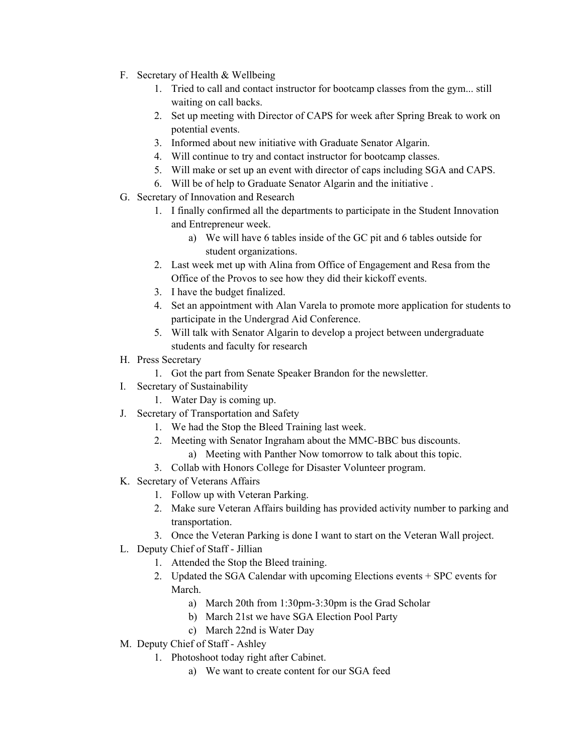- F. Secretary of Health & Wellbeing
	- 1. Tried to call and contact instructor for bootcamp classes from the gym... still waiting on call backs.
	- 2. Set up meeting with Director of CAPS for week after Spring Break to work on potential events.
	- 3. Informed about new initiative with Graduate Senator Algarin.
	- 4. Will continue to try and contact instructor for bootcamp classes.
	- 5. Will make or set up an event with director of caps including SGA and CAPS.
	- 6. Will be of help to Graduate Senator Algarin and the initiative .
- G. Secretary of Innovation and Research
	- 1. I finally confirmed all the departments to participate in the Student Innovation and Entrepreneur week.
		- a) We will have 6 tables inside of the GC pit and 6 tables outside for student organizations.
	- 2. Last week met up with Alina from Office of Engagement and Resa from the Office of the Provos to see how they did their kickoff events.
	- 3. I have the budget finalized.
	- 4. Set an appointment with Alan Varela to promote more application for students to participate in the Undergrad Aid Conference.
	- 5. Will talk with Senator Algarin to develop a project between undergraduate students and faculty for research
- H. Press Secretary
	- 1. Got the part from Senate Speaker Brandon for the newsletter.
- I. Secretary of Sustainability
	- 1. Water Day is coming up.
- J. Secretary of Transportation and Safety
	- 1. We had the Stop the Bleed Training last week.
	- 2. Meeting with Senator Ingraham about the MMC-BBC bus discounts.
		- a) Meeting with Panther Now tomorrow to talk about this topic.
	- 3. Collab with Honors College for Disaster Volunteer program.
- K. Secretary of Veterans Affairs
	- 1. Follow up with Veteran Parking.
	- 2. Make sure Veteran Affairs building has provided activity number to parking and transportation.
	- 3. Once the Veteran Parking is done I want to start on the Veteran Wall project.
- L. Deputy Chief of Staff Jillian
	- 1. Attended the Stop the Bleed training.
	- 2. Updated the SGA Calendar with upcoming Elections events + SPC events for March.
		- a) March 20th from 1:30pm-3:30pm is the Grad Scholar
		- b) March 21st we have SGA Election Pool Party
		- c) March 22nd is Water Day
- M. Deputy Chief of Staff Ashley
	- 1. Photoshoot today right after Cabinet.
		- a) We want to create content for our SGA feed